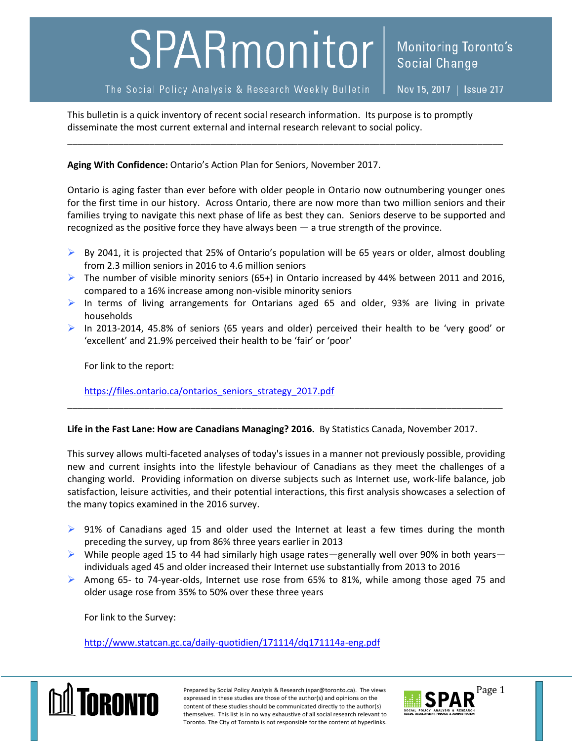## SPARmonitor

## The Social Policy Analysis & Research Weekly Bulletin

Nov 15, 2017 | Issue 217

This bulletin is a quick inventory of recent social research information. Its purpose is to promptly disseminate the most current external and internal research relevant to social policy.

**Aging With Confidence:** Ontario's Action Plan for Seniors, November 2017.

Ontario is aging faster than ever before with older people in Ontario now outnumbering younger ones for the first time in our history. Across Ontario, there are now more than two million seniors and their families trying to navigate this next phase of life as best they can. Seniors deserve to be supported and recognized as the positive force they have always been — a true strength of the province.

\_\_\_\_\_\_\_\_\_\_\_\_\_\_\_\_\_\_\_\_\_\_\_\_\_\_\_\_\_\_\_\_\_\_\_\_\_\_\_\_\_\_\_\_\_\_\_\_\_\_\_\_\_\_\_\_\_\_\_\_\_\_\_\_\_\_\_\_\_\_\_\_\_\_\_\_\_\_\_\_\_\_\_\_\_

- $\triangleright$  By 2041, it is projected that 25% of Ontario's population will be 65 years or older, almost doubling from 2.3 million seniors in 2016 to 4.6 million seniors
- The number of visible minority seniors (65+) in Ontario increased by 44% between 2011 and 2016, compared to a 16% increase among non-visible minority seniors
- In terms of living arrangements for Ontarians aged 65 and older, 93% are living in private households
- $\triangleright$  In 2013-2014, 45.8% of seniors (65 years and older) perceived their health to be 'very good' or 'excellent' and 21.9% perceived their health to be 'fair' or 'poor'

\_\_\_\_\_\_\_\_\_\_\_\_\_\_\_\_\_\_\_\_\_\_\_\_\_\_\_\_\_\_\_\_\_\_\_\_\_\_\_\_\_\_\_\_\_\_\_\_\_\_\_\_\_\_\_\_\_\_\_\_\_\_\_\_\_\_\_\_\_\_\_\_\_\_\_\_\_\_\_\_\_\_\_\_\_

For link to the report:

[https://files.ontario.ca/ontarios\\_seniors\\_strategy\\_2017.pdf](https://files.ontario.ca/ontarios_seniors_strategy_2017.pdf)

## **Life in the Fast Lane: How are Canadians Managing? 2016.** By Statistics Canada, November 2017.

This survey allows multi-faceted analyses of today's issues in a manner not previously possible, providing new and current insights into the lifestyle behaviour of Canadians as they meet the challenges of a changing world. Providing information on diverse subjects such as Internet use, work-life balance, job satisfaction, leisure activities, and their potential interactions, this first analysis showcases a selection of the many topics examined in the 2016 survey.

- $\triangleright$  91% of Canadians aged 15 and older used the Internet at least a few times during the month preceding the survey, up from 86% three years earlier in 2013
- $\triangleright$  While people aged 15 to 44 had similarly high usage rates—generally well over 90% in both years individuals aged 45 and older increased their Internet use substantially from 2013 to 2016
- $\triangleright$  Among 65- to 74-year-olds, Internet use rose from 65% to 81%, while among those aged 75 and older usage rose from 35% to 50% over these three years

For link to the Survey:

<http://www.statcan.gc.ca/daily-quotidien/171114/dq171114a-eng.pdf>



Prepared by Social Policy Analysis & Research (spar@toronto.ca). The views Page 1 expressed in these studies are those of the author(s) and opinions on the content of these studies should be communicated directly to the author(s) themselves. This list is in no way exhaustive of all social research relevant to Toronto. The City of Toronto is not responsible for the content of hyperlinks.

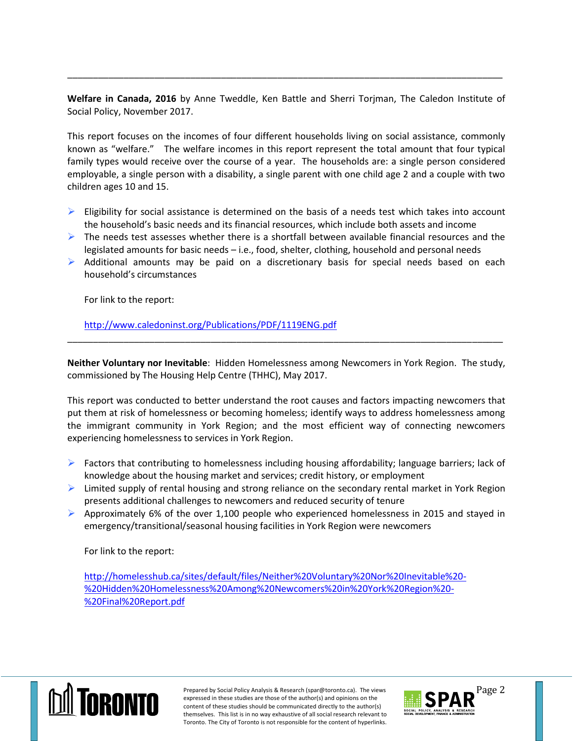**Welfare in Canada, 2016** by Anne Tweddle, Ken Battle and Sherri Torjman, The Caledon Institute of Social Policy, November 2017.

\_\_\_\_\_\_\_\_\_\_\_\_\_\_\_\_\_\_\_\_\_\_\_\_\_\_\_\_\_\_\_\_\_\_\_\_\_\_\_\_\_\_\_\_\_\_\_\_\_\_\_\_\_\_\_\_\_\_\_\_\_\_\_\_\_\_\_\_\_\_\_\_\_\_\_\_\_\_\_\_\_\_\_\_\_

This report focuses on the incomes of four different households living on social assistance, commonly known as "welfare." The welfare incomes in this report represent the total amount that four typical family types would receive over the course of a year. The households are: a single person considered employable, a single person with a disability, a single parent with one child age 2 and a couple with two children ages 10 and 15.

- $\triangleright$  Eligibility for social assistance is determined on the basis of a needs test which takes into account the household's basic needs and its financial resources, which include both assets and income
- $\triangleright$  The needs test assesses whether there is a shortfall between available financial resources and the legislated amounts for basic needs – i.e., food, shelter, clothing, household and personal needs
- $\triangleright$  Additional amounts may be paid on a discretionary basis for special needs based on each household's circumstances

For link to the report:

<http://www.caledoninst.org/Publications/PDF/1119ENG.pdf>

**Neither Voluntary nor Inevitable**: Hidden Homelessness among Newcomers in York Region. The study, commissioned by The Housing Help Centre (THHC), May 2017.

\_\_\_\_\_\_\_\_\_\_\_\_\_\_\_\_\_\_\_\_\_\_\_\_\_\_\_\_\_\_\_\_\_\_\_\_\_\_\_\_\_\_\_\_\_\_\_\_\_\_\_\_\_\_\_\_\_\_\_\_\_\_\_\_\_\_\_\_\_\_\_\_\_\_\_\_\_\_\_\_\_\_\_\_\_

This report was conducted to better understand the root causes and factors impacting newcomers that put them at risk of homelessness or becoming homeless; identify ways to address homelessness among the immigrant community in York Region; and the most efficient way of connecting newcomers experiencing homelessness to services in York Region.

- $\triangleright$  Factors that contributing to homelessness including housing affordability; language barriers; lack of knowledge about the housing market and services; credit history, or employment
- $\triangleright$  Limited supply of rental housing and strong reliance on the secondary rental market in York Region presents additional challenges to newcomers and reduced security of tenure
- $\triangleright$  Approximately 6% of the over 1,100 people who experienced homelessness in 2015 and stayed in emergency/transitional/seasonal housing facilities in York Region were newcomers

For link to the report:

[http://homelesshub.ca/sites/default/files/Neither%20Voluntary%20Nor%20Inevitable%20-](http://homelesshub.ca/sites/default/files/Neither%20Voluntary%20Nor%20Inevitable%20-%20Hidden%20Homelessness%20Among%20Newcomers%20in%20York%20Region%20-%20Final%20Report.pdf) [%20Hidden%20Homelessness%20Among%20Newcomers%20in%20York%20Region%20-](http://homelesshub.ca/sites/default/files/Neither%20Voluntary%20Nor%20Inevitable%20-%20Hidden%20Homelessness%20Among%20Newcomers%20in%20York%20Region%20-%20Final%20Report.pdf) [%20Final%20Report.pdf](http://homelesshub.ca/sites/default/files/Neither%20Voluntary%20Nor%20Inevitable%20-%20Hidden%20Homelessness%20Among%20Newcomers%20in%20York%20Region%20-%20Final%20Report.pdf)



Prepared by Social Policy Analysis & Research (spar@toronto.ca). The views Page 2 expressed in these studies are those of the author(s) and opinions on the content of these studies should be communicated directly to the author(s) themselves. This list is in no way exhaustive of all social research relevant to Toronto. The City of Toronto is not responsible for the content of hyperlinks.